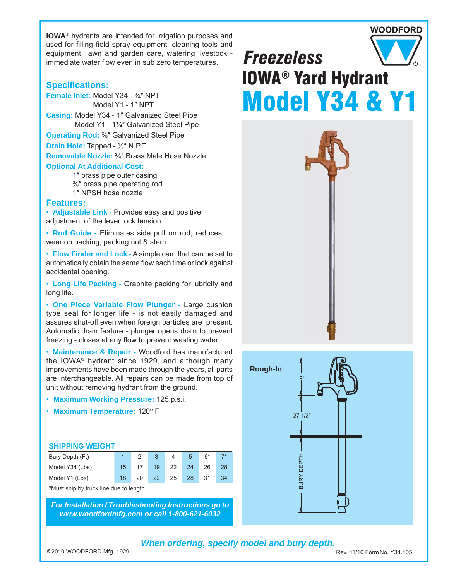**IOWA**® hydrants are intended for irrigation purposes and used for filling field spray equipment, cleaning tools and equipment, lawn and garden care, watering livestock immediate water flow even in sub zero temperatures.

### **Specifi cations:**

**Female Inlet:** Model Y34 - ¾″ NPT Model Y1 - 1″ NPT **Casing:** Model Y34 - 1″ Galvanized Steel Pipe Model Y1 - 1¼″ Galvanized Steel Pipe

**Operating Rod:** ⅜″ Galvanized Steel Pipe

**Drain Hole:** Tapped - ⅛″ N.P.T.

**Removable Nozzle:** ¾″ Brass Male Hose Nozzle **Optional At Additional Cost:**

1″ brass pipe outer casing

- ⅜″ brass pipe operating rod
- 1″ NPSH hose nozzle

### **Features:**

• **Adjustable Link -** Provides easy and positive adjustment of the lever lock tension.

• **Rod Guide -** Eliminates side pull on rod, reduces wear on packing, packing nut & stem.

• **Flow Finder and Lock -** A simple cam that can be set to automatically obtain the same flow each time or lock against accidental opening.

• **Long Life Packing -** Graphite packing for lubricity and long life.

• **One Piece Variable Flow Plunger -** Large cushion type seal for longer life - is not easily damaged and assures shut-off even when foreign particles are present. Automatic drain feature - plunger opens drain to prevent freezing - closes at any flow to prevent wasting water.

• **Maintenance & Repair -** Woodford has manufactured the IOWA® hydrant since 1929, and although many improvements have been made through the years, all parts are interchangeable. All repairs can be made from top of unit without removing hydrant from the ground.

- **Maximum Working Pressure:** 125 p.s.i.
- Maximum Temperature: 120° F

#### **SHIPPING WEIGHT**

| Bury Depth (Ft) |                 |    |    |    |    | 6* |  |
|-----------------|-----------------|----|----|----|----|----|--|
| Model Y34 (Lbs) | 15 <sub>1</sub> |    | 19 | つつ | 24 | 26 |  |
| Model Y1 (Lbs)  | 18              | 20 | 22 | 25 | 28 |    |  |

\*Must ship by truck line due to length.

*For Installation / Troubleshooting Instructions go to www.woodfordmfg.com or call 1-800-621-6032*

# *Freezeless* IOWA® Yard Hydrant Model Y34 & Y1

**WOODFORD** 





### *When ordering, specify model and bury depth.*

Rev. 11/10 Form No. Y34.105